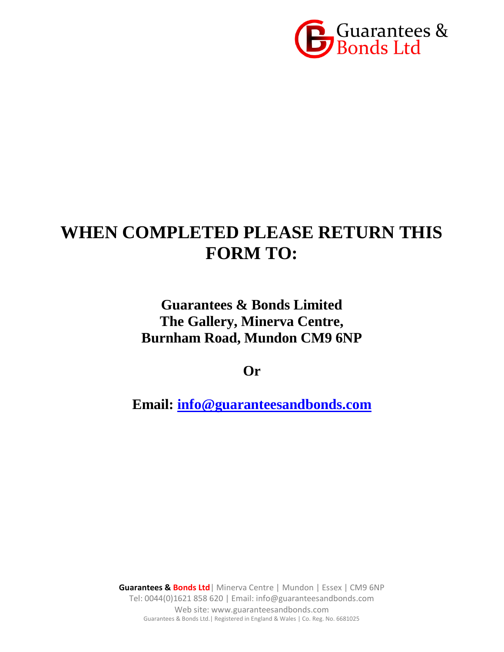

# **WHEN COMPLETED PLEASE RETURN THIS FORM TO:**

## **Guarantees & Bonds Limited The Gallery, Minerva Centre, Burnham Road, Mundon CM9 6NP**

**Or**

**Email: [info@guaranteesandbonds.com](mailto:info@guaranteesandbonds.com)**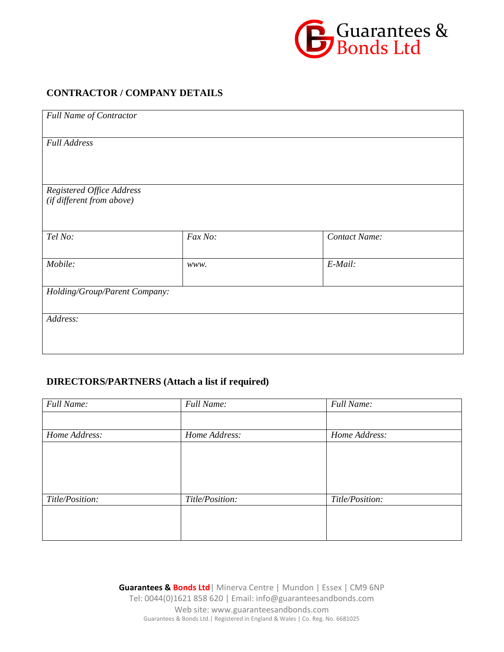

### **CONTRACTOR / COMPANY DETAILS**

| <b>Full Name of Contractor</b> |         |               |  |  |  |
|--------------------------------|---------|---------------|--|--|--|
| <b>Full Address</b>            |         |               |  |  |  |
|                                |         |               |  |  |  |
|                                |         |               |  |  |  |
| Registered Office Address      |         |               |  |  |  |
| (if different from above)      |         |               |  |  |  |
|                                |         |               |  |  |  |
| Tel No:                        | Fax No: | Contact Name: |  |  |  |
|                                |         |               |  |  |  |
| Mobile:                        | www.    | E-Mail:       |  |  |  |
|                                |         |               |  |  |  |
| Holding/Group/Parent Company:  |         |               |  |  |  |
| Address:                       |         |               |  |  |  |
|                                |         |               |  |  |  |
|                                |         |               |  |  |  |
|                                |         |               |  |  |  |

### **DIRECTORS/PARTNERS (Attach a list if required)**

| <b>Full Name:</b> | <b>Full Name:</b> | <b>Full Name:</b> |
|-------------------|-------------------|-------------------|
|                   |                   |                   |
| Home Address:     | Home Address:     | Home Address:     |
|                   |                   |                   |
|                   |                   |                   |
|                   |                   |                   |
|                   |                   |                   |
| Title/Position:   | Title/Position:   | Title/Position:   |
|                   |                   |                   |
|                   |                   |                   |
|                   |                   |                   |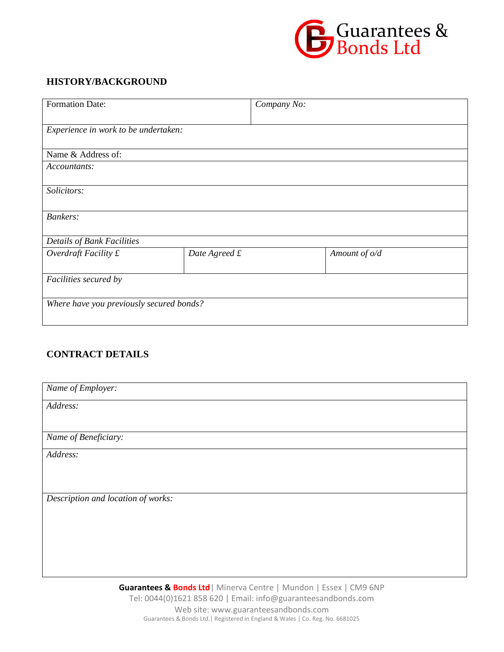

### **HISTORY/BACKGROUND**

| <b>Formation Date:</b>                   |               | Company No: |               |  |  |
|------------------------------------------|---------------|-------------|---------------|--|--|
| Experience in work to be undertaken:     |               |             |               |  |  |
| Name & Address of:                       |               |             |               |  |  |
| Accountants:                             |               |             |               |  |  |
| Solicitors:                              |               |             |               |  |  |
| <b>Bankers:</b>                          |               |             |               |  |  |
| Details of Bank Facilities               |               |             |               |  |  |
| Overdraft Facility $f$                   | Date Agreed £ |             | Amount of o/d |  |  |
| Facilities secured by                    |               |             |               |  |  |
| Where have you previously secured bonds? |               |             |               |  |  |

### **CONTRACT DETAILS**

| Name of Employer:                                                                                                                                                                                                              |
|--------------------------------------------------------------------------------------------------------------------------------------------------------------------------------------------------------------------------------|
| Address:                                                                                                                                                                                                                       |
|                                                                                                                                                                                                                                |
| Name of Beneficiary:                                                                                                                                                                                                           |
| Address:                                                                                                                                                                                                                       |
|                                                                                                                                                                                                                                |
|                                                                                                                                                                                                                                |
| Description and location of works:                                                                                                                                                                                             |
|                                                                                                                                                                                                                                |
|                                                                                                                                                                                                                                |
|                                                                                                                                                                                                                                |
|                                                                                                                                                                                                                                |
| the contract of the contract of the contract of the contract of the contract of the contract of the contract of the contract of the contract of the contract of the contract of the contract of the contract of the contract o |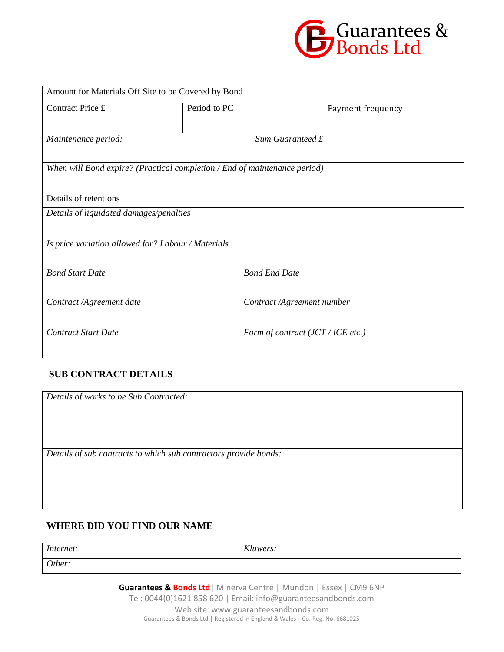

| Amount for Materials Off Site to be Covered by Bond                       |              |                                   |                   |  |  |
|---------------------------------------------------------------------------|--------------|-----------------------------------|-------------------|--|--|
| Contract Price £                                                          | Period to PC |                                   | Payment frequency |  |  |
| Maintenance period:                                                       |              | Sum Guaranteed £                  |                   |  |  |
| When will Bond expire? (Practical completion / End of maintenance period) |              |                                   |                   |  |  |
| Details of retentions                                                     |              |                                   |                   |  |  |
| Details of liquidated damages/penalties                                   |              |                                   |                   |  |  |
| Is price variation allowed for? Labour / Materials                        |              |                                   |                   |  |  |
| <b>Bond Start Date</b>                                                    |              | <b>Bond End Date</b>              |                   |  |  |
| Contract /Agreement date                                                  |              | Contract /Agreement number        |                   |  |  |
| <b>Contract Start Date</b>                                                |              | Form of contract (JCT / ICE etc.) |                   |  |  |

### **SUB CONTRACT DETAILS**

| Details of works to be Sub Contracted:                           |  |  |  |  |
|------------------------------------------------------------------|--|--|--|--|
|                                                                  |  |  |  |  |
|                                                                  |  |  |  |  |
|                                                                  |  |  |  |  |
| Details of sub contracts to which sub contractors provide bonds: |  |  |  |  |
|                                                                  |  |  |  |  |
|                                                                  |  |  |  |  |
|                                                                  |  |  |  |  |

### **WHERE DID YOU FIND OUR NAME**

*Internet: Kluwers: Other:*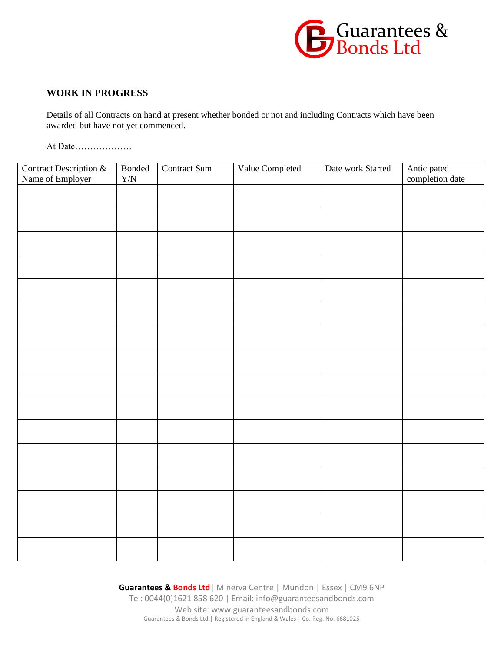

### **WORK IN PROGRESS**

Details of all Contracts on hand at present whether bonded or not and including Contracts which have been awarded but have not yet commenced.

At Date……………….

| Contract Description &<br>Name of Employer | <b>Bonded</b> | Contract Sum | Value Completed | Date work Started | Anticipated<br>completion date |  |  |
|--------------------------------------------|---------------|--------------|-----------------|-------------------|--------------------------------|--|--|
|                                            | ${\rm Y/N}$   |              |                 |                   |                                |  |  |
|                                            |               |              |                 |                   |                                |  |  |
|                                            |               |              |                 |                   |                                |  |  |
|                                            |               |              |                 |                   |                                |  |  |
|                                            |               |              |                 |                   |                                |  |  |
|                                            |               |              |                 |                   |                                |  |  |
|                                            |               |              |                 |                   |                                |  |  |
|                                            |               |              |                 |                   |                                |  |  |
|                                            |               |              |                 |                   |                                |  |  |
|                                            |               |              |                 |                   |                                |  |  |
|                                            |               |              |                 |                   |                                |  |  |
|                                            |               |              |                 |                   |                                |  |  |
|                                            |               |              |                 |                   |                                |  |  |
|                                            |               |              |                 |                   |                                |  |  |
|                                            |               |              |                 |                   |                                |  |  |
|                                            |               |              |                 |                   |                                |  |  |
|                                            |               |              |                 |                   |                                |  |  |
|                                            |               |              |                 |                   |                                |  |  |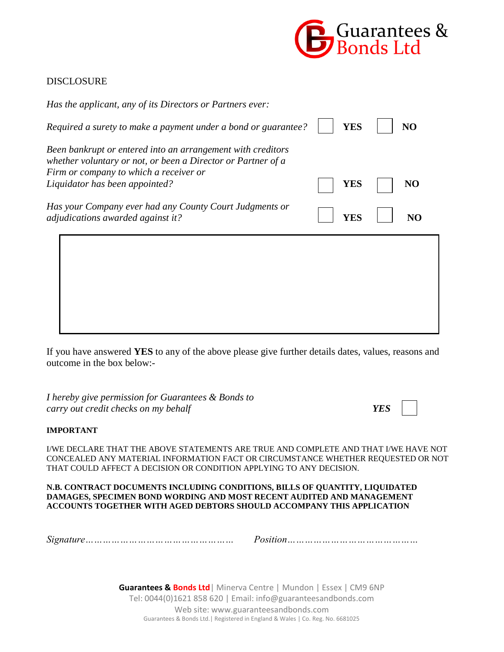

### DISCLOSURE

| Has the applicant, any of its Directors or Partners ever:                                                                                                                                               |            |    |
|---------------------------------------------------------------------------------------------------------------------------------------------------------------------------------------------------------|------------|----|
| Required a surety to make a payment under a bond or guarantee?                                                                                                                                          | <b>YES</b> | NO |
| Been bankrupt or entered into an arrangement with creditors<br>whether voluntary or not, or been a Director or Partner of a<br>Firm or company to which a receiver or<br>Liquidator has been appointed? | YES        | NO |
| Has your Company ever had any County Court Judgments or<br>adjudications awarded against it?                                                                                                            | YES        |    |
|                                                                                                                                                                                                         |            |    |
|                                                                                                                                                                                                         |            |    |
|                                                                                                                                                                                                         |            |    |

If you have answered **YES** to any of the above please give further details dates, values, reasons and outcome in the box below:-

*I hereby give permission for Guarantees & Bonds to carry out credit checks on my behalf YES*

#### **IMPORTANT**

I/WE DECLARE THAT THE ABOVE STATEMENTS ARE TRUE AND COMPLETE AND THAT I/WE HAVE NOT CONCEALED ANY MATERIAL INFORMATION FACT OR CIRCUMSTANCE WHETHER REQUESTED OR NOT THAT COULD AFFECT A DECISION OR CONDITION APPLYING TO ANY DECISION.

#### **N.B. CONTRACT DOCUMENTS INCLUDING CONDITIONS, BILLS OF QUANTITY, LIQUIDATED DAMAGES, SPECIMEN BOND WORDING AND MOST RECENT AUDITED AND MANAGEMENT ACCOUNTS TOGETHER WITH AGED DEBTORS SHOULD ACCOMPANY THIS APPLICATION**

*Signature…………………………………………… Position………………………………………*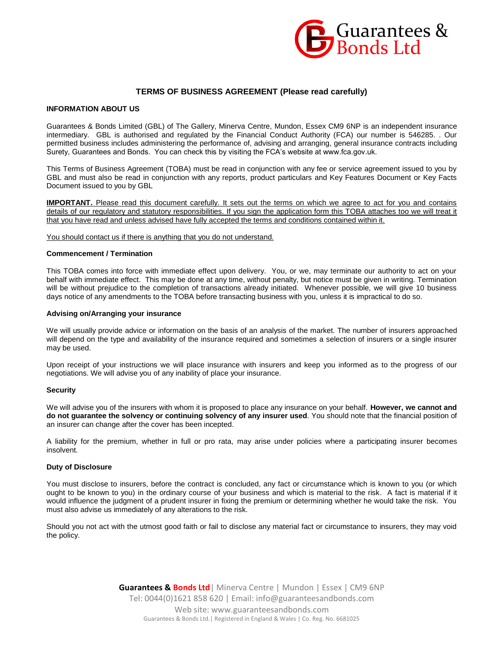

#### **TERMS OF BUSINESS AGREEMENT (Please read carefully)**

#### **INFORMATION ABOUT US**

Guarantees & Bonds Limited (GBL) of The Gallery, Minerva Centre, Mundon, Essex CM9 6NP is an independent insurance intermediary. GBL is authorised and regulated by the Financial Conduct Authority (FCA) our number is 546285. . Our permitted business includes administering the performance of, advising and arranging, general insurance contracts including Surety, Guarantees and Bonds. You can check this by visiting the FCA's website at www.fca.gov.uk.

This Terms of Business Agreement (TOBA) must be read in conjunction with any fee or service agreement issued to you by GBL and must also be read in conjunction with any reports, product particulars and Key Features Document or Key Facts Document issued to you by GBL

**IMPORTANT.** Please read this document carefully. It sets out the terms on which we agree to act for you and contains details of our regulatory and statutory responsibilities. If you sign the application form this TOBA attaches too we will treat it that you have read and unless advised have fully accepted the terms and conditions contained within it.

You should contact us if there is anything that you do not understand.

#### **Commencement / Termination**

This TOBA comes into force with immediate effect upon delivery. You, or we, may terminate our authority to act on your behalf with immediate effect. This may be done at any time, without penalty, but notice must be given in writing. Termination will be without prejudice to the completion of transactions already initiated. Whenever possible, we will give 10 business days notice of any amendments to the TOBA before transacting business with you, unless it is impractical to do so.

#### **Advising on/Arranging your insurance**

We will usually provide advice or information on the basis of an analysis of the market. The number of insurers approached will depend on the type and availability of the insurance required and sometimes a selection of insurers or a single insurer may be used.

Upon receipt of your instructions we will place insurance with insurers and keep you informed as to the progress of our negotiations. We will advise you of any inability of place your insurance.

#### **Security**

We will advise you of the insurers with whom it is proposed to place any insurance on your behalf. **However, we cannot and do not guarantee the solvency or continuing solvency of any insurer used**. You should note that the financial position of an insurer can change after the cover has been incepted.

A liability for the premium, whether in full or pro rata, may arise under policies where a participating insurer becomes insolvent.

#### **Duty of Disclosure**

You must disclose to insurers, before the contract is concluded, any fact or circumstance which is known to you (or which ought to be known to you) in the ordinary course of your business and which is material to the risk. A fact is material if it would influence the judgment of a prudent insurer in fixing the premium or determining whether he would take the risk. You must also advise us immediately of any alterations to the risk.

Should you not act with the utmost good faith or fail to disclose any material fact or circumstance to insurers, they may void the policy.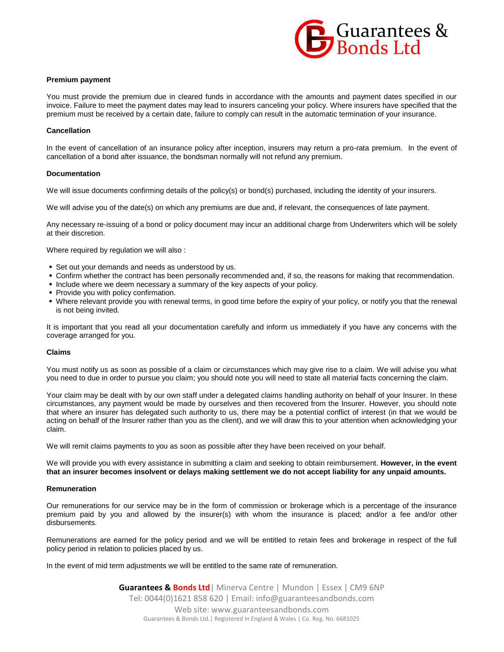

#### **Premium payment**

You must provide the premium due in cleared funds in accordance with the amounts and payment dates specified in our invoice. Failure to meet the payment dates may lead to insurers canceling your policy. Where insurers have specified that the premium must be received by a certain date, failure to comply can result in the automatic termination of your insurance.

#### **Cancellation**

In the event of cancellation of an insurance policy after inception, insurers may return a pro-rata premium. In the event of cancellation of a bond after issuance, the bondsman normally will not refund any premium.

#### **Documentation**

We will issue documents confirming details of the policy(s) or bond(s) purchased, including the identity of your insurers.

We will advise you of the date(s) on which any premiums are due and, if relevant, the consequences of late payment.

Any necessary re-issuing of a bond or policy document may incur an additional charge from Underwriters which will be solely at their discretion.

Where required by regulation we will also :

- Set out your demands and needs as understood by us.
- Confirm whether the contract has been personally recommended and, if so, the reasons for making that recommendation.
- Include where we deem necessary a summary of the key aspects of your policy.
- **Provide you with policy confirmation.**
- Where relevant provide you with renewal terms, in good time before the expiry of your policy, or notify you that the renewal is not being invited.

It is important that you read all your documentation carefully and inform us immediately if you have any concerns with the coverage arranged for you.

#### **Claims**

You must notify us as soon as possible of a claim or circumstances which may give rise to a claim. We will advise you what you need to due in order to pursue you claim; you should note you will need to state all material facts concerning the claim.

Your claim may be dealt with by our own staff under a delegated claims handling authority on behalf of your Insurer. In these circumstances, any payment would be made by ourselves and then recovered from the Insurer. However, you should note that where an insurer has delegated such authority to us, there may be a potential conflict of interest (in that we would be acting on behalf of the Insurer rather than you as the client), and we will draw this to your attention when acknowledging your claim.

We will remit claims payments to you as soon as possible after they have been received on your behalf.

We will provide you with every assistance in submitting a claim and seeking to obtain reimbursement. **However, in the event that an insurer becomes insolvent or delays making settlement we do not accept liability for any unpaid amounts.**

#### **Remuneration**

Our remunerations for our service may be in the form of commission or brokerage which is a percentage of the insurance premium paid by you and allowed by the insurer(s) with whom the insurance is placed; and/or a fee and/or other disbursements.

Remunerations are earned for the policy period and we will be entitled to retain fees and brokerage in respect of the full policy period in relation to policies placed by us.

In the event of mid term adjustments we will be entitled to the same rate of remuneration.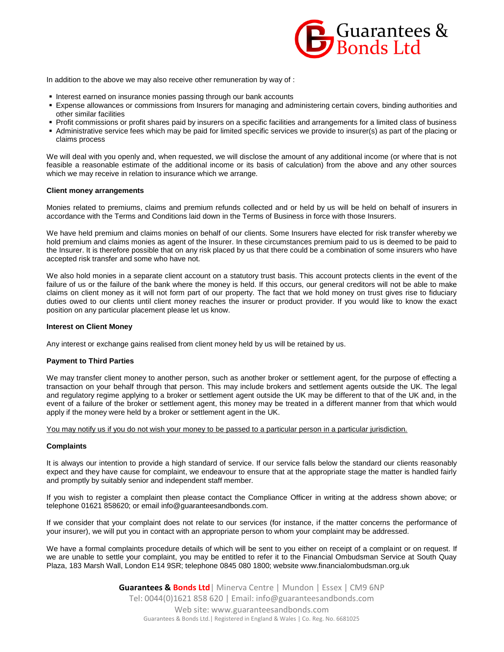

In addition to the above we may also receive other remuneration by way of :

- Interest earned on insurance monies passing through our bank accounts
- Expense allowances or commissions from Insurers for managing and administering certain covers, binding authorities and other similar facilities
- Profit commissions or profit shares paid by insurers on a specific facilities and arrangements for a limited class of business
- Administrative service fees which may be paid for limited specific services we provide to insurer(s) as part of the placing or claims process

We will deal with you openly and, when requested, we will disclose the amount of any additional income (or where that is not feasible a reasonable estimate of the additional income or its basis of calculation) from the above and any other sources which we may receive in relation to insurance which we arrange.

#### **Client money arrangements**

Monies related to premiums, claims and premium refunds collected and or held by us will be held on behalf of insurers in accordance with the Terms and Conditions laid down in the Terms of Business in force with those Insurers.

We have held premium and claims monies on behalf of our clients. Some Insurers have elected for risk transfer whereby we hold premium and claims monies as agent of the Insurer. In these circumstances premium paid to us is deemed to be paid to the Insurer. It is therefore possible that on any risk placed by us that there could be a combination of some insurers who have accepted risk transfer and some who have not.

We also hold monies in a separate client account on a statutory trust basis. This account protects clients in the event of the failure of us or the failure of the bank where the money is held. If this occurs, our general creditors will not be able to make claims on client money as it will not form part of our property. The fact that we hold money on trust gives rise to fiduciary duties owed to our clients until client money reaches the insurer or product provider. If you would like to know the exact position on any particular placement please let us know.

#### **Interest on Client Money**

Any interest or exchange gains realised from client money held by us will be retained by us.

#### **Payment to Third Parties**

We may transfer client money to another person, such as another broker or settlement agent, for the purpose of effecting a transaction on your behalf through that person. This may include brokers and settlement agents outside the UK. The legal and regulatory regime applying to a broker or settlement agent outside the UK may be different to that of the UK and, in the event of a failure of the broker or settlement agent, this money may be treated in a different manner from that which would apply if the money were held by a broker or settlement agent in the UK.

You may notify us if you do not wish your money to be passed to a particular person in a particular jurisdiction.

#### **Complaints**

It is always our intention to provide a high standard of service. If our service falls below the standard our clients reasonably expect and they have cause for complaint, we endeavour to ensure that at the appropriate stage the matter is handled fairly and promptly by suitably senior and independent staff member.

If you wish to register a complaint then please contact the Compliance Officer in writing at the address shown above; or telephone 01621 858620; or email info@guaranteesandbonds.com.

If we consider that your complaint does not relate to our services (for instance, if the matter concerns the performance of your insurer), we will put you in contact with an appropriate person to whom your complaint may be addressed.

We have a formal complaints procedure details of which will be sent to you either on receipt of a complaint or on request. If we are unable to settle your complaint, you may be entitled to refer it to the Financial Ombudsman Service at South Quay Plaza, 183 Marsh Wall, London E14 9SR; telephone 0845 080 1800; website www.financialombudsman.org.uk